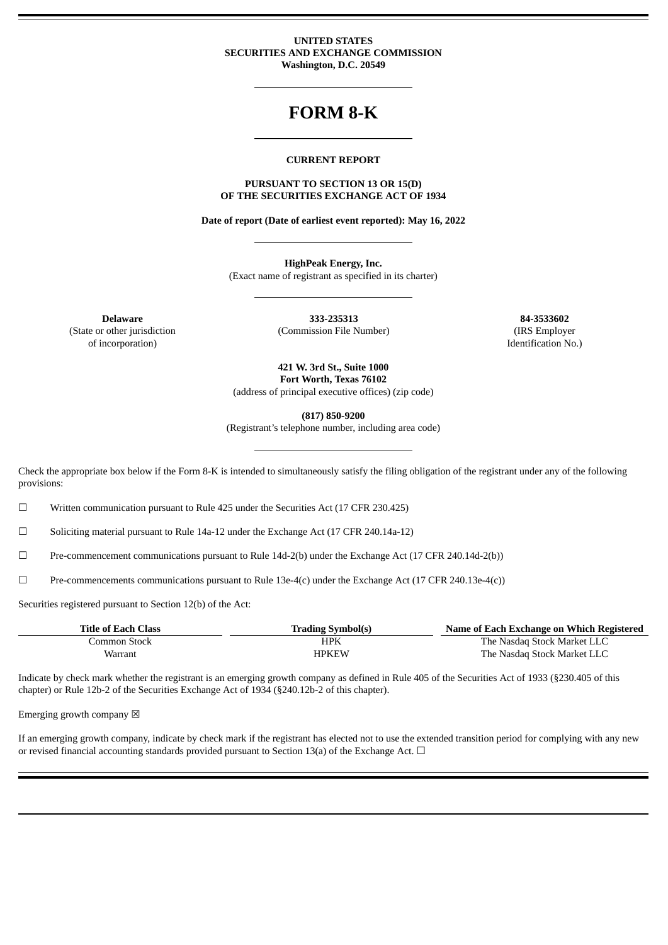#### **UNITED STATES SECURITIES AND EXCHANGE COMMISSION Washington, D.C. 20549**

# **FORM 8-K**

#### **CURRENT REPORT**

#### **PURSUANT TO SECTION 13 OR 15(D) OF THE SECURITIES EXCHANGE ACT OF 1934**

**Date of report (Date of earliest event reported): May 16, 2022**

**HighPeak Energy, Inc.** (Exact name of registrant as specified in its charter)

(State or other jurisdiction of incorporation)

**Delaware 333-235313 84-3533602** (Commission File Number) (IRS Employer

Identification No.)

**421 W. 3rd St., Suite 1000 Fort Worth, Texas 76102** (address of principal executive offices) (zip code)

**(817) 850-9200**

(Registrant's telephone number, including area code)

Check the appropriate box below if the Form 8-K is intended to simultaneously satisfy the filing obligation of the registrant under any of the following provisions:

 $\Box$  Written communication pursuant to Rule 425 under the Securities Act (17 CFR 230.425)

☐ Soliciting material pursuant to Rule 14a-12 under the Exchange Act (17 CFR 240.14a-12)

☐ Pre-commencement communications pursuant to Rule 14d-2(b) under the Exchange Act (17 CFR 240.14d-2(b))

☐ Pre-commencements communications pursuant to Rule 13e-4(c) under the Exchange Act (17 CFR 240.13e-4(c))

Securities registered pursuant to Section 12(b) of the Act:

| <b>Title of Each Class</b> | <b>Trading Symbol(s)</b> | Name of Each Exchange on Which Registered |
|----------------------------|--------------------------|-------------------------------------------|
| Common Stock-              | HPK                      | The Nasdag Stock Market LLC               |
| Warrant                    | <b>HPKEW</b>             | The Nasdaq Stock Market LLC               |

Indicate by check mark whether the registrant is an emerging growth company as defined in Rule 405 of the Securities Act of 1933 (§230.405 of this chapter) or Rule 12b-2 of the Securities Exchange Act of 1934 (§240.12b-2 of this chapter).

Emerging growth company  $\boxtimes$ 

If an emerging growth company, indicate by check mark if the registrant has elected not to use the extended transition period for complying with any new or revised financial accounting standards provided pursuant to Section 13(a) of the Exchange Act.  $\Box$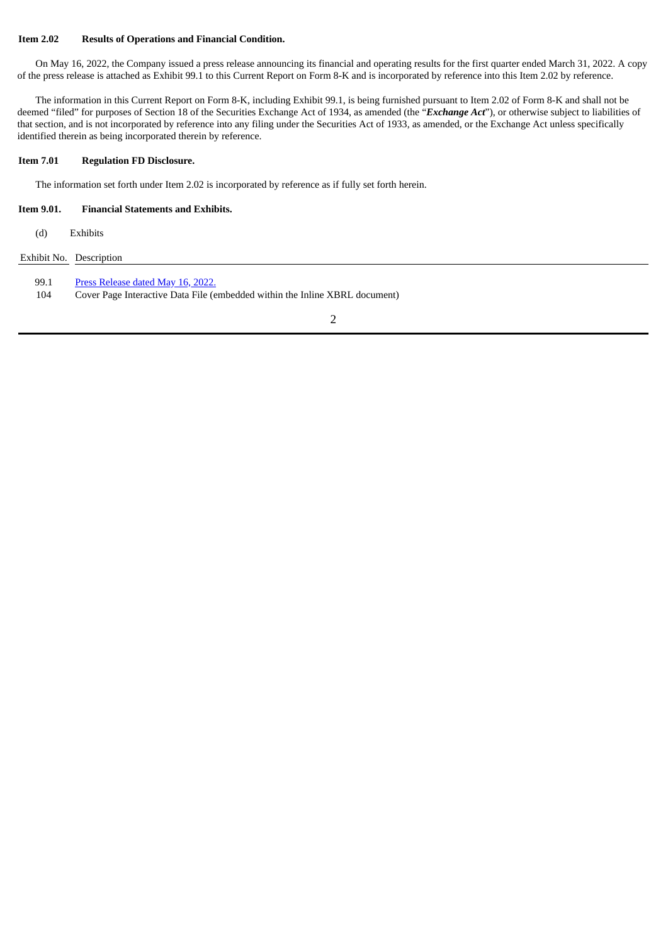#### **Item 2.02 Results of Operations and Financial Condition.**

On May 16, 2022, the Company issued a press release announcing its financial and operating results for the first quarter ended March 31, 2022. A copy of the press release is attached as Exhibit 99.1 to this Current Report on Form 8-K and is incorporated by reference into this Item 2.02 by reference.

The information in this Current Report on Form 8-K, including Exhibit 99.1, is being furnished pursuant to Item 2.02 of Form 8-K and shall not be deemed "filed" for purposes of Section 18 of the Securities Exchange Act of 1934, as amended (the "*Exchange Act*"), or otherwise subject to liabilities of that section, and is not incorporated by reference into any filing under the Securities Act of 1933, as amended, or the Exchange Act unless specifically identified therein as being incorporated therein by reference.

#### **Item 7.01 Regulation FD Disclosure.**

The information set forth under Item 2.02 is incorporated by reference as if fully set forth herein.

#### **Item 9.01. Financial Statements and Exhibits.**

(d) Exhibits

Exhibit No. Description

99.1 Press [Release](#page-3-0) dated May 16, 2022.

104 Cover Page Interactive Data File (embedded within the Inline XBRL document)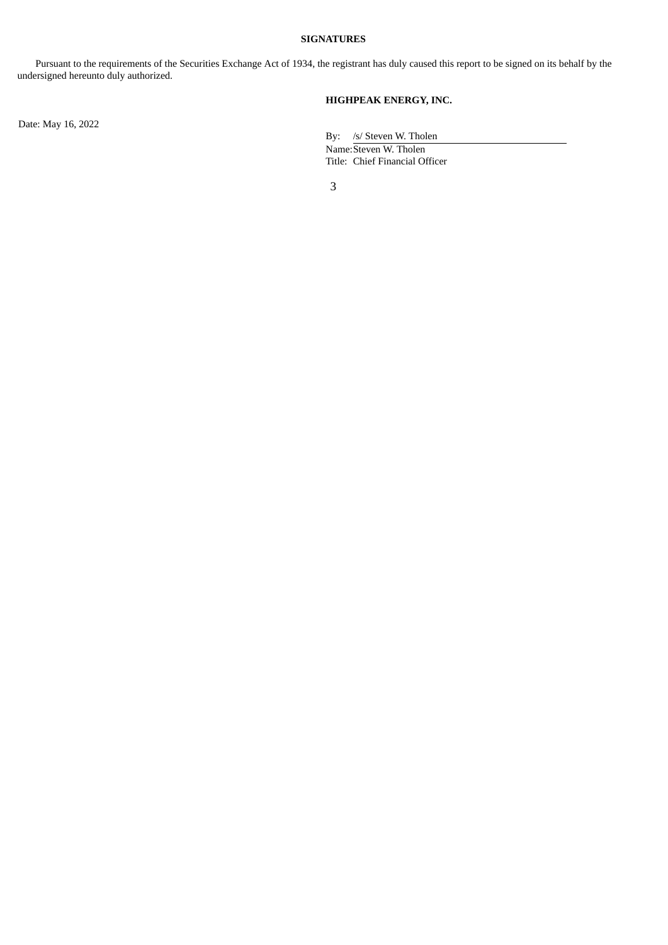## **SIGNATURES**

Pursuant to the requirements of the Securities Exchange Act of 1934, the registrant has duly caused this report to be signed on its behalf by the undersigned hereunto duly authorized.

# **HIGHPEAK ENERGY, INC.**

Date: May 16, 2022

By: /s/ Steven W. Tholen Name:Steven W. Tholen Title: Chief Financial Officer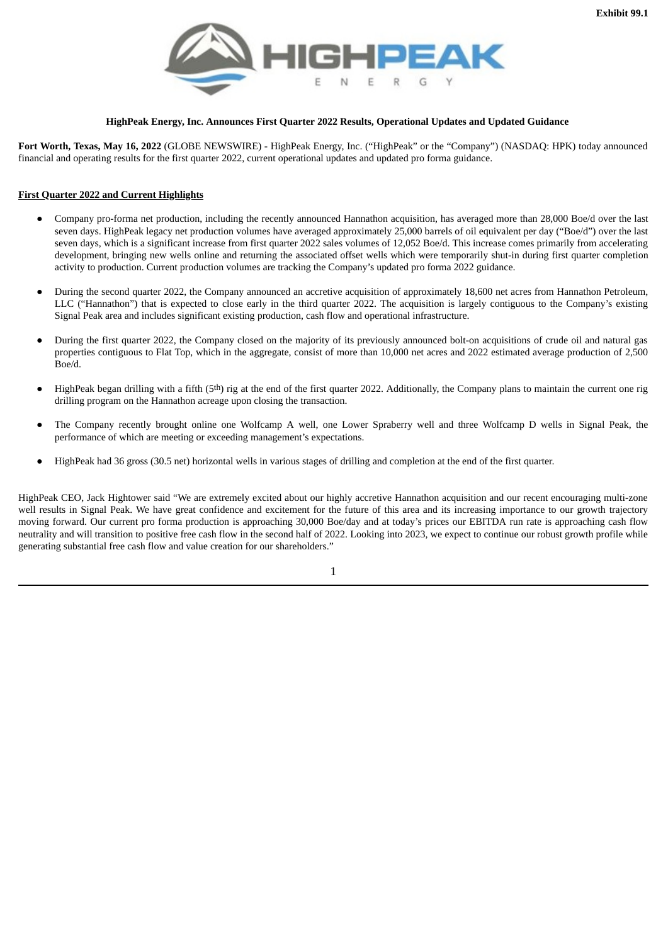<span id="page-3-0"></span>

#### **HighPeak Energy, Inc. Announces First Quarter 2022 Results, Operational Updates and Updated Guidance**

**Fort Worth, Texas, May 16, 2022** (GLOBE NEWSWIRE) **-** HighPeak Energy, Inc. ("HighPeak" or the "Company") (NASDAQ: HPK) today announced financial and operating results for the first quarter 2022, current operational updates and updated pro forma guidance.

## **First Quarter 2022 and Current Highlights**

- Company pro-forma net production, including the recently announced Hannathon acquisition, has averaged more than 28,000 Boe/d over the last seven days. HighPeak legacy net production volumes have averaged approximately 25,000 barrels of oil equivalent per day ("Boe/d") over the last seven days, which is a significant increase from first quarter 2022 sales volumes of 12,052 Boe/d. This increase comes primarily from accelerating development, bringing new wells online and returning the associated offset wells which were temporarily shut-in during first quarter completion activity to production. Current production volumes are tracking the Company's updated pro forma 2022 guidance.
- During the second quarter 2022, the Company announced an accretive acquisition of approximately 18,600 net acres from Hannathon Petroleum, LLC ("Hannathon") that is expected to close early in the third quarter 2022. The acquisition is largely contiguous to the Company's existing Signal Peak area and includes significant existing production, cash flow and operational infrastructure.
- During the first quarter 2022, the Company closed on the majority of its previously announced bolt-on acquisitions of crude oil and natural gas properties contiguous to Flat Top, which in the aggregate, consist of more than 10,000 net acres and 2022 estimated average production of 2,500 Boe/d.
- HighPeak began drilling with a fifth (5<sup>th</sup>) rig at the end of the first quarter 2022. Additionally, the Company plans to maintain the current one rig drilling program on the Hannathon acreage upon closing the transaction.
- The Company recently brought online one Wolfcamp A well, one Lower Spraberry well and three Wolfcamp D wells in Signal Peak, the performance of which are meeting or exceeding management's expectations.
- HighPeak had 36 gross (30.5 net) horizontal wells in various stages of drilling and completion at the end of the first quarter.

HighPeak CEO, Jack Hightower said "We are extremely excited about our highly accretive Hannathon acquisition and our recent encouraging multi-zone well results in Signal Peak. We have great confidence and excitement for the future of this area and its increasing importance to our growth trajectory moving forward. Our current pro forma production is approaching 30,000 Boe/day and at today's prices our EBITDA run rate is approaching cash flow neutrality and will transition to positive free cash flow in the second half of 2022. Looking into 2023, we expect to continue our robust growth profile while generating substantial free cash flow and value creation for our shareholders."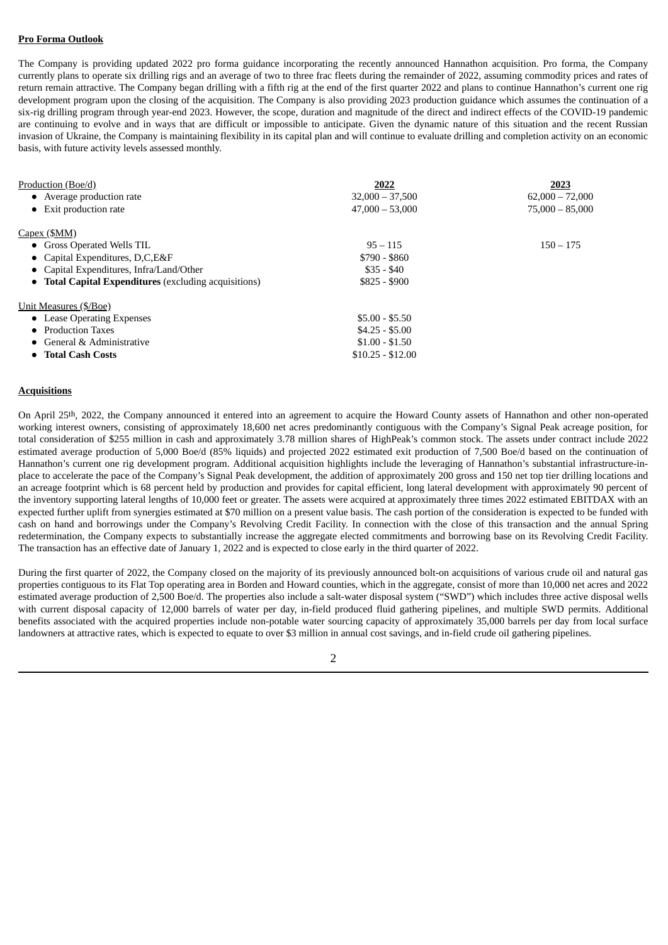## **Pro Forma Outlook**

The Company is providing updated 2022 pro forma guidance incorporating the recently announced Hannathon acquisition. Pro forma, the Company currently plans to operate six drilling rigs and an average of two to three frac fleets during the remainder of 2022, assuming commodity prices and rates of return remain attractive. The Company began drilling with a fifth rig at the end of the first quarter 2022 and plans to continue Hannathon's current one rig development program upon the closing of the acquisition. The Company is also providing 2023 production guidance which assumes the continuation of a six-rig drilling program through year-end 2023. However, the scope, duration and magnitude of the direct and indirect effects of the COVID-19 pandemic are continuing to evolve and in ways that are difficult or impossible to anticipate. Given the dynamic nature of this situation and the recent Russian invasion of Ukraine, the Company is maintaining flexibility in its capital plan and will continue to evaluate drilling and completion activity on an economic basis, with future activity levels assessed monthly.

| 2022              | 2023              |
|-------------------|-------------------|
| $32,000 - 37,500$ | $62,000 - 72,000$ |
| $47,000 - 53,000$ | $75,000 - 85,000$ |
|                   |                   |
| $95 - 115$        | $150 - 175$       |
| $$790 - $860$     |                   |
| $$35 - $40$       |                   |
| $$825 - $900$     |                   |
|                   |                   |
| $$5.00 - $5.50$   |                   |
| $$4.25 - $5.00$   |                   |
| $$1.00 - $1.50$   |                   |
| $$10.25 - $12.00$ |                   |
|                   |                   |

#### **Acquisitions**

On April 25th, 2022, the Company announced it entered into an agreement to acquire the Howard County assets of Hannathon and other non-operated working interest owners, consisting of approximately 18,600 net acres predominantly contiguous with the Company's Signal Peak acreage position, for total consideration of \$255 million in cash and approximately 3.78 million shares of HighPeak's common stock. The assets under contract include 2022 estimated average production of 5,000 Boe/d (85% liquids) and projected 2022 estimated exit production of 7,500 Boe/d based on the continuation of Hannathon's current one rig development program. Additional acquisition highlights include the leveraging of Hannathon's substantial infrastructure-inplace to accelerate the pace of the Company's Signal Peak development, the addition of approximately 200 gross and 150 net top tier drilling locations and an acreage footprint which is 68 percent held by production and provides for capital efficient, long lateral development with approximately 90 percent of the inventory supporting lateral lengths of 10,000 feet or greater. The assets were acquired at approximately three times 2022 estimated EBITDAX with an expected further uplift from synergies estimated at \$70 million on a present value basis. The cash portion of the consideration is expected to be funded with cash on hand and borrowings under the Company's Revolving Credit Facility. In connection with the close of this transaction and the annual Spring redetermination, the Company expects to substantially increase the aggregate elected commitments and borrowing base on its Revolving Credit Facility. The transaction has an effective date of January 1, 2022 and is expected to close early in the third quarter of 2022.

During the first quarter of 2022, the Company closed on the majority of its previously announced bolt-on acquisitions of various crude oil and natural gas properties contiguous to its Flat Top operating area in Borden and Howard counties, which in the aggregate, consist of more than 10,000 net acres and 2022 estimated average production of 2,500 Boe/d. The properties also include a salt-water disposal system ("SWD") which includes three active disposal wells with current disposal capacity of 12,000 barrels of water per day, in-field produced fluid gathering pipelines, and multiple SWD permits. Additional benefits associated with the acquired properties include non-potable water sourcing capacity of approximately 35,000 barrels per day from local surface landowners at attractive rates, which is expected to equate to over \$3 million in annual cost savings, and in-field crude oil gathering pipelines.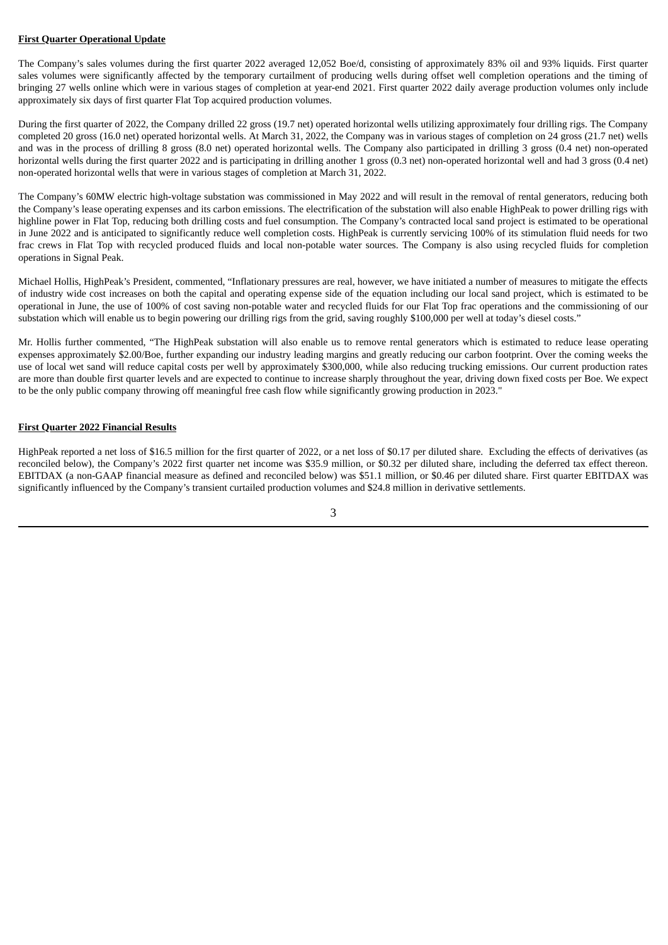#### **First Quarter Operational Update**

The Company's sales volumes during the first quarter 2022 averaged 12,052 Boe/d, consisting of approximately 83% oil and 93% liquids. First quarter sales volumes were significantly affected by the temporary curtailment of producing wells during offset well completion operations and the timing of bringing 27 wells online which were in various stages of completion at year-end 2021. First quarter 2022 daily average production volumes only include approximately six days of first quarter Flat Top acquired production volumes.

During the first quarter of 2022, the Company drilled 22 gross (19.7 net) operated horizontal wells utilizing approximately four drilling rigs. The Company completed 20 gross (16.0 net) operated horizontal wells. At March 31, 2022, the Company was in various stages of completion on 24 gross (21.7 net) wells and was in the process of drilling 8 gross (8.0 net) operated horizontal wells. The Company also participated in drilling 3 gross (0.4 net) non-operated horizontal wells during the first quarter 2022 and is participating in drilling another 1 gross (0.3 net) non-operated horizontal well and had 3 gross (0.4 net) non-operated horizontal wells that were in various stages of completion at March 31, 2022.

The Company's 60MW electric high-voltage substation was commissioned in May 2022 and will result in the removal of rental generators, reducing both the Company's lease operating expenses and its carbon emissions. The electrification of the substation will also enable HighPeak to power drilling rigs with highline power in Flat Top, reducing both drilling costs and fuel consumption. The Company's contracted local sand project is estimated to be operational in June 2022 and is anticipated to significantly reduce well completion costs. HighPeak is currently servicing 100% of its stimulation fluid needs for two frac crews in Flat Top with recycled produced fluids and local non-potable water sources. The Company is also using recycled fluids for completion operations in Signal Peak.

Michael Hollis, HighPeak's President, commented, "Inflationary pressures are real, however, we have initiated a number of measures to mitigate the effects of industry wide cost increases on both the capital and operating expense side of the equation including our local sand project, which is estimated to be operational in June, the use of 100% of cost saving non-potable water and recycled fluids for our Flat Top frac operations and the commissioning of our substation which will enable us to begin powering our drilling rigs from the grid, saving roughly \$100,000 per well at today's diesel costs."

Mr. Hollis further commented, "The HighPeak substation will also enable us to remove rental generators which is estimated to reduce lease operating expenses approximately \$2.00/Boe, further expanding our industry leading margins and greatly reducing our carbon footprint. Over the coming weeks the use of local wet sand will reduce capital costs per well by approximately \$300,000, while also reducing trucking emissions. Our current production rates are more than double first quarter levels and are expected to continue to increase sharply throughout the year, driving down fixed costs per Boe. We expect to be the only public company throwing off meaningful free cash flow while significantly growing production in 2023."

## **First Quarter 2022 Financial Results**

HighPeak reported a net loss of \$16.5 million for the first quarter of 2022, or a net loss of \$0.17 per diluted share. Excluding the effects of derivatives (as reconciled below), the Company's 2022 first quarter net income was \$35.9 million, or \$0.32 per diluted share, including the deferred tax effect thereon. EBITDAX (a non-GAAP financial measure as defined and reconciled below) was \$51.1 million, or \$0.46 per diluted share. First quarter EBITDAX was significantly influenced by the Company's transient curtailed production volumes and \$24.8 million in derivative settlements.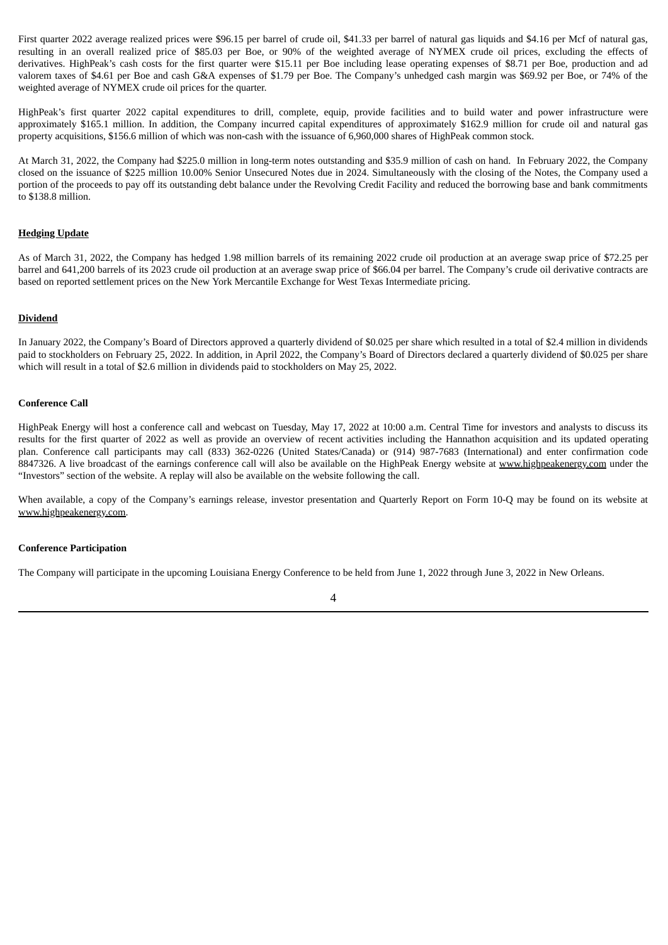First quarter 2022 average realized prices were \$96.15 per barrel of crude oil, \$41.33 per barrel of natural gas liquids and \$4.16 per Mcf of natural gas, resulting in an overall realized price of \$85.03 per Boe, or 90% of the weighted average of NYMEX crude oil prices, excluding the effects of derivatives. HighPeak's cash costs for the first quarter were \$15.11 per Boe including lease operating expenses of \$8.71 per Boe, production and ad valorem taxes of \$4.61 per Boe and cash G&A expenses of \$1.79 per Boe. The Company's unhedged cash margin was \$69.92 per Boe, or 74% of the weighted average of NYMEX crude oil prices for the quarter.

HighPeak's first quarter 2022 capital expenditures to drill, complete, equip, provide facilities and to build water and power infrastructure were approximately \$165.1 million. In addition, the Company incurred capital expenditures of approximately \$162.9 million for crude oil and natural gas property acquisitions, \$156.6 million of which was non-cash with the issuance of 6,960,000 shares of HighPeak common stock.

At March 31, 2022, the Company had \$225.0 million in long-term notes outstanding and \$35.9 million of cash on hand. In February 2022, the Company closed on the issuance of \$225 million 10.00% Senior Unsecured Notes due in 2024. Simultaneously with the closing of the Notes, the Company used a portion of the proceeds to pay off its outstanding debt balance under the Revolving Credit Facility and reduced the borrowing base and bank commitments to \$138.8 million.

#### **Hedging Update**

As of March 31, 2022, the Company has hedged 1.98 million barrels of its remaining 2022 crude oil production at an average swap price of \$72.25 per barrel and 641,200 barrels of its 2023 crude oil production at an average swap price of \$66.04 per barrel. The Company's crude oil derivative contracts are based on reported settlement prices on the New York Mercantile Exchange for West Texas Intermediate pricing.

#### **Dividend**

In January 2022, the Company's Board of Directors approved a quarterly dividend of \$0.025 per share which resulted in a total of \$2.4 million in dividends paid to stockholders on February 25, 2022. In addition, in April 2022, the Company's Board of Directors declared a quarterly dividend of \$0.025 per share which will result in a total of \$2.6 million in dividends paid to stockholders on May 25, 2022.

#### **Conference Call**

HighPeak Energy will host a conference call and webcast on Tuesday, May 17, 2022 at 10:00 a.m. Central Time for investors and analysts to discuss its results for the first quarter of 2022 as well as provide an overview of recent activities including the Hannathon acquisition and its updated operating plan. Conference call participants may call (833) 362-0226 (United States/Canada) or (914) 987-7683 (International) and enter confirmation code 8847326. A live broadcast of the earnings conference call will also be available on the HighPeak Energy website at www.highpeakenergy.com under the "Investors" section of the website. A replay will also be available on the website following the call.

When available, a copy of the Company's earnings release, investor presentation and Quarterly Report on Form 10-Q may be found on its website at www.highpeakenergy.com.

#### **Conference Participation**

The Company will participate in the upcoming Louisiana Energy Conference to be held from June 1, 2022 through June 3, 2022 in New Orleans.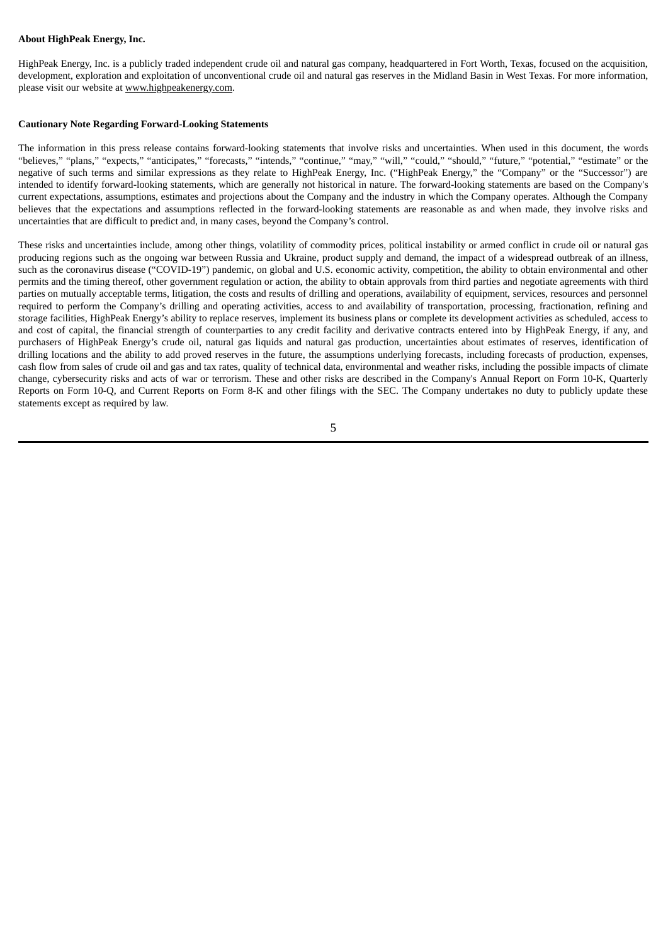#### **About HighPeak Energy, Inc.**

HighPeak Energy, Inc. is a publicly traded independent crude oil and natural gas company, headquartered in Fort Worth, Texas, focused on the acquisition, development, exploration and exploitation of unconventional crude oil and natural gas reserves in the Midland Basin in West Texas. For more information, please visit our website at www.highpeakenergy.com.

#### **Cautionary Note Regarding Forward-Looking Statements**

The information in this press release contains forward-looking statements that involve risks and uncertainties. When used in this document, the words "believes," "plans," "expects," "anticipates," "forecasts," "intends," "continue," "may," "will," "could," "should," "future," "potential," "estimate" or the negative of such terms and similar expressions as they relate to HighPeak Energy, Inc. ("HighPeak Energy," the "Company" or the "Successor") are intended to identify forward-looking statements, which are generally not historical in nature. The forward-looking statements are based on the Company's current expectations, assumptions, estimates and projections about the Company and the industry in which the Company operates. Although the Company believes that the expectations and assumptions reflected in the forward-looking statements are reasonable as and when made, they involve risks and uncertainties that are difficult to predict and, in many cases, beyond the Company's control.

These risks and uncertainties include, among other things, volatility of commodity prices, political instability or armed conflict in crude oil or natural gas producing regions such as the ongoing war between Russia and Ukraine, product supply and demand, the impact of a widespread outbreak of an illness, such as the coronavirus disease ("COVID-19") pandemic, on global and U.S. economic activity, competition, the ability to obtain environmental and other permits and the timing thereof, other government regulation or action, the ability to obtain approvals from third parties and negotiate agreements with third parties on mutually acceptable terms, litigation, the costs and results of drilling and operations, availability of equipment, services, resources and personnel required to perform the Company's drilling and operating activities, access to and availability of transportation, processing, fractionation, refining and storage facilities, HighPeak Energy's ability to replace reserves, implement its business plans or complete its development activities as scheduled, access to and cost of capital, the financial strength of counterparties to any credit facility and derivative contracts entered into by HighPeak Energy, if any, and purchasers of HighPeak Energy's crude oil, natural gas liquids and natural gas production, uncertainties about estimates of reserves, identification of drilling locations and the ability to add proved reserves in the future, the assumptions underlying forecasts, including forecasts of production, expenses, cash flow from sales of crude oil and gas and tax rates, quality of technical data, environmental and weather risks, including the possible impacts of climate change, cybersecurity risks and acts of war or terrorism. These and other risks are described in the Company's Annual Report on Form 10-K, Quarterly Reports on Form 10-Q, and Current Reports on Form 8-K and other filings with the SEC. The Company undertakes no duty to publicly update these statements except as required by law.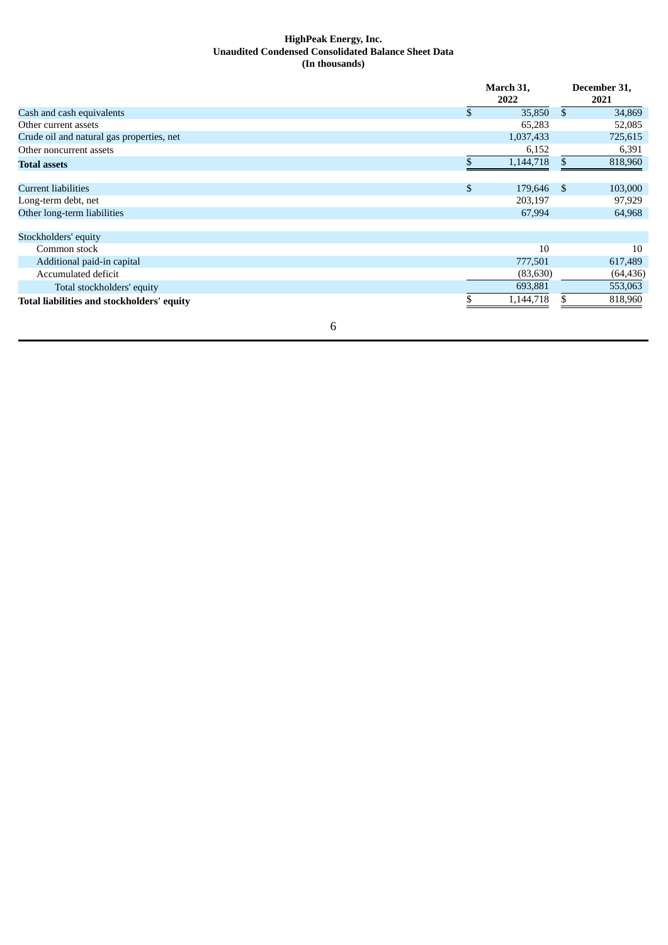## **HighPeak Energy, Inc. Unaudited Condensed Consolidated Balance Sheet Data (In thousands)**

|                                            |              | March 31,<br>2022 |                | December 31,<br>2021 |
|--------------------------------------------|--------------|-------------------|----------------|----------------------|
| Cash and cash equivalents                  | $\mathbb{S}$ | 35,850            | $\mathfrak{S}$ | 34,869               |
| Other current assets                       |              | 65,283            |                | 52,085               |
| Crude oil and natural gas properties, net  |              | 1,037,433         |                | 725,615              |
| Other noncurrent assets                    |              | 6,152             |                | 6,391                |
| <b>Total assets</b>                        |              | 1,144,718         | \$.            | 818,960              |
| <b>Current liabilities</b>                 | \$           | 179,646           | \$             | 103,000              |
| Long-term debt, net                        |              | 203,197           |                | 97,929               |
| Other long-term liabilities                |              | 67,994            |                | 64,968               |
| Stockholders' equity                       |              |                   |                |                      |
| Common stock                               |              | 10                |                | 10                   |
| Additional paid-in capital                 |              | 777,501           |                | 617,489              |
| Accumulated deficit                        |              | (83,630)          |                | (64, 436)            |
| Total stockholders' equity                 |              | 693,881           |                | 553,063              |
| Total liabilities and stockholders' equity |              | 1,144,718         | \$             | 818,960              |
| 6                                          |              |                   |                |                      |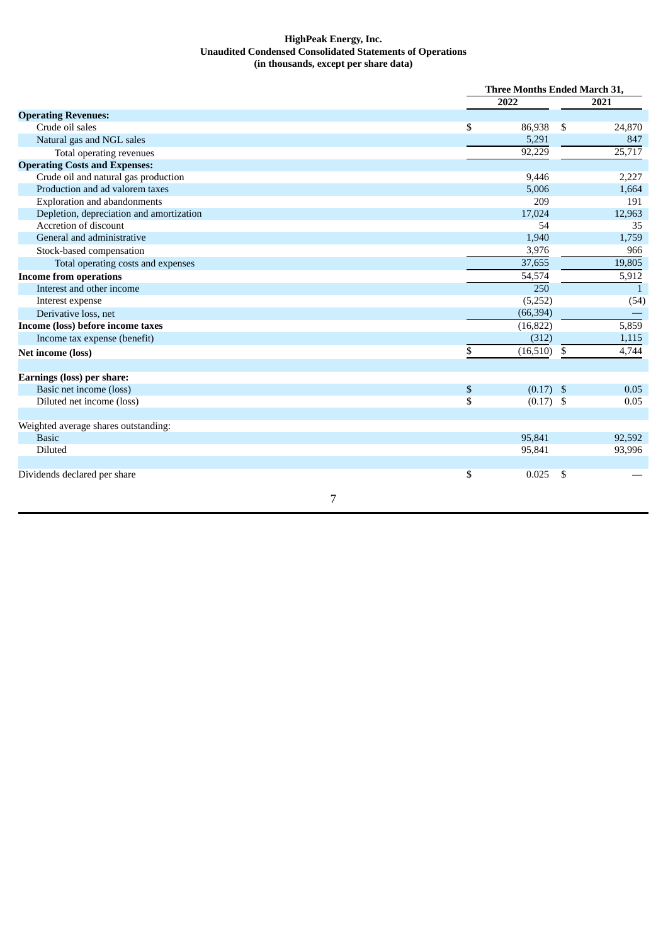## **HighPeak Energy, Inc. Unaudited Condensed Consolidated Statements of Operations (in thousands, except per share data)**

|                                          | <b>Three Months Ended March 31,</b> |    |              |
|------------------------------------------|-------------------------------------|----|--------------|
|                                          | 2022                                |    | 2021         |
| <b>Operating Revenues:</b>               |                                     |    |              |
| Crude oil sales                          | \$<br>86,938                        | \$ | 24,870       |
| Natural gas and NGL sales                | 5,291                               |    | 847          |
| Total operating revenues                 | 92,229                              |    | 25,717       |
| <b>Operating Costs and Expenses:</b>     |                                     |    |              |
| Crude oil and natural gas production     | 9,446                               |    | 2,227        |
| Production and ad valorem taxes          | 5,006                               |    | 1,664        |
| <b>Exploration and abandonments</b>      | 209                                 |    | 191          |
| Depletion, depreciation and amortization | 17,024                              |    | 12,963       |
| Accretion of discount                    | 54                                  |    | 35           |
| General and administrative               | 1,940                               |    | 1,759        |
| Stock-based compensation                 | 3,976                               |    | 966          |
| Total operating costs and expenses       | 37,655                              |    | 19,805       |
| <b>Income from operations</b>            | 54,574                              |    | 5,912        |
| Interest and other income                | 250                                 |    | $\mathbf{1}$ |
| Interest expense                         | (5,252)                             |    | (54)         |
| Derivative loss, net                     | (66, 394)                           |    |              |
| Income (loss) before income taxes        | (16, 822)                           |    | 5,859        |
| Income tax expense (benefit)             | (312)                               |    | 1,115        |
| Net income (loss)                        | \$<br>$(16,510)$ \$                 |    | 4,744        |
| Earnings (loss) per share:               |                                     |    |              |
| Basic net income (loss)                  | \$<br>$(0.17)$ \$                   |    | 0.05         |
| Diluted net income (loss)                | \$<br>$(0.17)$ \$                   |    | 0.05         |
| Weighted average shares outstanding:     |                                     |    |              |
| <b>Basic</b>                             | 95,841                              |    | 92,592       |
| Diluted                                  | 95,841                              |    | 93,996       |
|                                          |                                     |    |              |
| Dividends declared per share             | \$<br>0.025                         | \$ |              |
| 7                                        |                                     |    |              |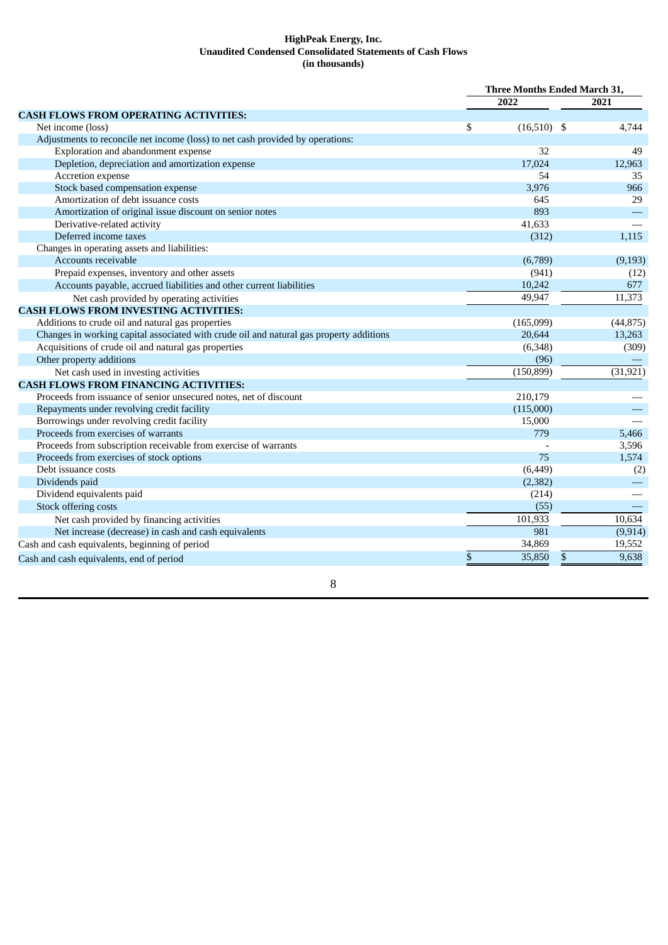## **HighPeak Energy, Inc. Unaudited Condensed Consolidated Statements of Cash Flows (in thousands)**

|                                                                                         | <b>Three Months Ended March 31,</b> |               |             |
|-----------------------------------------------------------------------------------------|-------------------------------------|---------------|-------------|
|                                                                                         |                                     | 2022          | 2021        |
| <b>CASH FLOWS FROM OPERATING ACTIVITIES:</b>                                            |                                     |               |             |
| Net income (loss)                                                                       | \$                                  | $(16,510)$ \$ | 4,744       |
| Adjustments to reconcile net income (loss) to net cash provided by operations:          |                                     |               |             |
| Exploration and abandonment expense                                                     |                                     | 32            | 49          |
| Depletion, depreciation and amortization expense                                        |                                     | 17,024        | 12,963      |
| Accretion expense                                                                       |                                     | 54            | 35          |
| Stock based compensation expense                                                        |                                     | 3,976         | 966         |
| Amortization of debt issuance costs                                                     |                                     | 645           | 29          |
| Amortization of original issue discount on senior notes                                 |                                     | 893           |             |
| Derivative-related activity                                                             |                                     | 41,633        |             |
| Deferred income taxes                                                                   |                                     | (312)         | 1,115       |
| Changes in operating assets and liabilities:                                            |                                     |               |             |
| Accounts receivable                                                                     |                                     | (6,789)       | (9, 193)    |
| Prepaid expenses, inventory and other assets                                            |                                     | (941)         | (12)        |
| Accounts payable, accrued liabilities and other current liabilities                     |                                     | 10,242        | 677         |
| Net cash provided by operating activities                                               |                                     | 49,947        | 11,373      |
| <b>CASH FLOWS FROM INVESTING ACTIVITIES:</b>                                            |                                     |               |             |
| Additions to crude oil and natural gas properties                                       |                                     | (165,099)     | (44, 875)   |
| Changes in working capital associated with crude oil and natural gas property additions |                                     | 20,644        | 13,263      |
| Acquisitions of crude oil and natural gas properties                                    |                                     | (6,348)       | (309)       |
| Other property additions                                                                |                                     | (96)          |             |
| Net cash used in investing activities                                                   |                                     | (150, 899)    | (31, 921)   |
| <b>CASH FLOWS FROM FINANCING ACTIVITIES:</b>                                            |                                     |               |             |
| Proceeds from issuance of senior unsecured notes, net of discount                       |                                     | 210,179       |             |
| Repayments under revolving credit facility                                              |                                     | (115,000)     |             |
| Borrowings under revolving credit facility                                              |                                     | 15,000        |             |
| Proceeds from exercises of warrants                                                     |                                     | 779           | 5,466       |
| Proceeds from subscription receivable from exercise of warrants                         |                                     |               | 3,596       |
| Proceeds from exercises of stock options                                                |                                     | 75            | 1,574       |
| Debt issuance costs                                                                     |                                     | (6, 449)      | (2)         |
| Dividends paid                                                                          |                                     | (2, 382)      |             |
| Dividend equivalents paid                                                               |                                     | (214)         |             |
| Stock offering costs                                                                    |                                     | (55)          |             |
| Net cash provided by financing activities                                               |                                     | 101,933       | 10,634      |
| Net increase (decrease) in cash and cash equivalents                                    |                                     | 981           | (9, 914)    |
| Cash and cash equivalents, beginning of period                                          |                                     | 34,869        | 19,552      |
| Cash and cash equivalents, end of period                                                | $\mathbb{S}$                        | 35,850        | 9,638<br>\$ |
|                                                                                         |                                     |               |             |

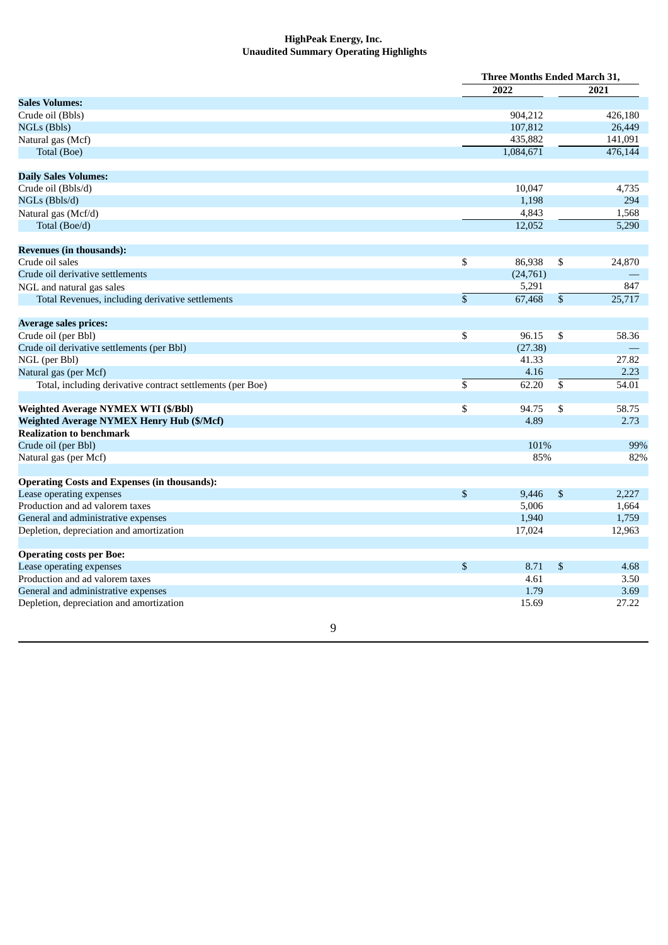## **HighPeak Energy, Inc. Unaudited Summary Operating Highlights**

|                                                            |                 | <b>Three Months Ended March 31,</b> |                 |         |
|------------------------------------------------------------|-----------------|-------------------------------------|-----------------|---------|
|                                                            |                 | 2022                                |                 | 2021    |
| <b>Sales Volumes:</b>                                      |                 |                                     |                 |         |
| Crude oil (Bbls)                                           |                 | 904,212                             |                 | 426,180 |
| NGLs (Bbls)                                                |                 | 107,812                             |                 | 26,449  |
| Natural gas (Mcf)                                          |                 | 435,882                             |                 | 141,091 |
| Total (Boe)                                                |                 | 1,084,671                           |                 | 476,144 |
| <b>Daily Sales Volumes:</b>                                |                 |                                     |                 |         |
| Crude oil (Bbls/d)                                         |                 | 10,047                              |                 | 4,735   |
| NGLs (Bbls/d)                                              |                 | 1,198                               |                 | 294     |
| Natural gas (Mcf/d)                                        |                 | 4,843                               |                 | 1,568   |
| Total (Boe/d)                                              |                 | 12,052                              |                 | 5,290   |
| <b>Revenues (in thousands):</b>                            |                 |                                     |                 |         |
| Crude oil sales                                            | \$              | 86,938                              | \$              | 24,870  |
| Crude oil derivative settlements                           |                 | (24, 761)                           |                 |         |
| NGL and natural gas sales                                  |                 | 5,291                               |                 | 847     |
| Total Revenues, including derivative settlements           | $\overline{\$}$ | 67,468                              | $\overline{\$}$ | 25,717  |
| <b>Average sales prices:</b>                               |                 |                                     |                 |         |
| Crude oil (per Bbl)                                        | \$              | 96.15                               | \$              | 58.36   |
| Crude oil derivative settlements (per Bbl)                 |                 | (27.38)                             |                 |         |
| NGL (per Bbl)                                              |                 | 41.33                               |                 | 27.82   |
| Natural gas (per Mcf)                                      |                 | 4.16                                |                 | 2.23    |
| Total, including derivative contract settlements (per Boe) | \$              | 62.20                               | $\overline{\$}$ | 54.01   |
| Weighted Average NYMEX WTI (\$/Bbl)                        | \$              | 94.75                               | \$              | 58.75   |
| <b>Weighted Average NYMEX Henry Hub (\$/Mcf)</b>           |                 | 4.89                                |                 | 2.73    |
| <b>Realization to benchmark</b>                            |                 |                                     |                 |         |
| Crude oil (per Bbl)                                        |                 | 101%                                |                 | 99%     |
| Natural gas (per Mcf)                                      |                 | 85%                                 |                 | 82%     |
| <b>Operating Costs and Expenses (in thousands):</b>        |                 |                                     |                 |         |
| Lease operating expenses                                   | \$              | 9,446                               | $\$$            | 2,227   |
| Production and ad valorem taxes                            |                 | 5,006                               |                 | 1,664   |
| General and administrative expenses                        |                 | 1,940                               |                 | 1,759   |
| Depletion, depreciation and amortization                   |                 | 17,024                              |                 | 12,963  |
| <b>Operating costs per Boe:</b>                            |                 |                                     |                 |         |
| Lease operating expenses                                   | \$              | 8.71                                | \$              | 4.68    |
| Production and ad valorem taxes                            |                 | 4.61                                |                 | 3.50    |
| General and administrative expenses                        |                 | 1.79                                |                 | 3.69    |
| Depletion, depreciation and amortization                   |                 | 15.69                               |                 | 27.22   |
| 9                                                          |                 |                                     |                 |         |